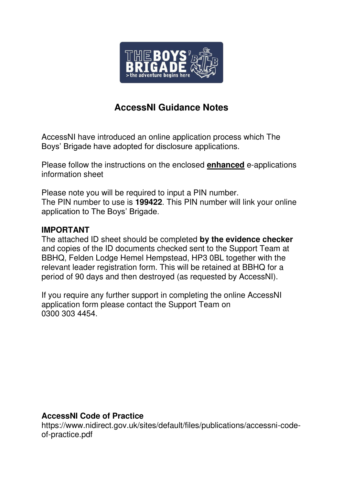

# **AccessNI Guidance Notes**

AccessNI have introduced an online application process which The Boys' Brigade have adopted for disclosure applications.

Please follow the instructions on the enclosed **enhanced** e-applications information sheet

Please note you will be required to input a PIN number. The PIN number to use is **199422**. This PIN number will link your online application to The Boys' Brigade.

# **IMPORTANT**

The attached ID sheet should be completed **by the evidence checker** and copies of the ID documents checked sent to the Support Team at BBHQ, Felden Lodge Hemel Hempstead, HP3 0BL together with the relevant leader registration form. This will be retained at BBHQ for a period of 90 days and then destroyed (as requested by AccessNI).

If you require any further support in completing the online AccessNI application form please contact the Support Team on 0300 303 4454.

# **AccessNI Code of Practice**

https://www.nidirect.gov.uk/sites/default/files/publications/accessni-codeof-practice.pdf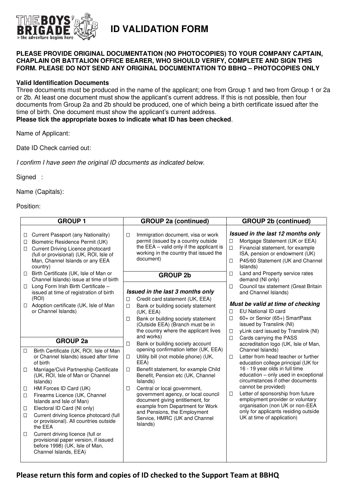

# **ID VALIDATION FORM**

### **PLEASE PROVIDE ORIGINAL DOCUMENTATION (NO PHOTOCOPIES) TO YOUR COMPANY CAPTAIN, CHAPLAIN OR BATTALION OFFICE BEARER, WHO SHOULD VERIFY, COMPLETE AND SIGN THIS FORM. PLEASE DO NOT SEND ANY ORIGINAL DOCUMENTATION TO BBHQ – PHOTOCOPIES ONLY**

### **Valid Identification Documents**

Three documents must be produced in the name of the applicant; one from Group 1 and two from Group 1 or 2a or 2b. At least one document must show the applicant's current address. If this is not possible, then four documents from Group 2a and 2b should be produced, one of which being a birth certificate issued after the time of birth. One document must show the applicant's current address.

**Please tick the appropriate boxes to indicate what ID has been checked**.

Name of Applicant:

Date ID Check carried out:

I confirm I have seen the original ID documents as indicated below.

Signed :

Name (Capitals):

Position:

|                            | <b>GROUP 1</b>                                                                                                                                                                                                   |                  | <b>GROUP 2a (continued)</b>                                                                                                                                                                                    |                            | <b>GROUP 2b (continued)</b>                                                                                                                                                                                                         |
|----------------------------|------------------------------------------------------------------------------------------------------------------------------------------------------------------------------------------------------------------|------------------|----------------------------------------------------------------------------------------------------------------------------------------------------------------------------------------------------------------|----------------------------|-------------------------------------------------------------------------------------------------------------------------------------------------------------------------------------------------------------------------------------|
| □<br>$\Box$<br>$\Box$      | Current Passport (any Nationality)<br>Biometric Residence Permit (UK)<br>Current Driving Licence photocard<br>(full or provisional) (UK, ROI, Isle of<br>Man, Channel Islands or any EEA<br>country)             | $\Box$           | Immigration document, visa or work<br>permit (issued by a country outside<br>the EEA - valid only if the applicant is<br>working in the country that issued the<br>document)                                   | $\Box$<br>$\Box$<br>$\Box$ | Issued in the last 12 months only<br>Mortgage Statement (UK or EEA)<br>Financial statement, for example<br>ISA, pension or endowment (UK)<br>P45/60 Statement (UK and Channel<br>Islands)                                           |
| Ш                          | Birth Certificate (UK, Isle of Man or<br>Channel Islands) issue at time of birth                                                                                                                                 |                  | <b>GROUP 2b</b>                                                                                                                                                                                                | $\Box$                     | Land and Property service rates<br>demand (NI only)                                                                                                                                                                                 |
| □                          | Long Form Irish Birth Certificate -<br>issued at time of registration of birth<br>(ROI)                                                                                                                          | □                | Issued in the last 3 months only<br>Credit card statement (UK, EEA)                                                                                                                                            | $\Box$                     | Council tax statement (Great Britain<br>and Channel Islands)                                                                                                                                                                        |
| □                          | Adoption certificate (UK, Isle of Man<br>or Channel Islands)                                                                                                                                                     | $\Box$<br>□      | Bank or building society statement<br>(UK, EEA)<br>Bank or building society statement<br>(Outside EEA) (Branch must be in<br>the country where the applicant lives                                             | $\Box$<br>$\Box$<br>□      | Must be valid at time of checking<br><b>EU National ID card</b><br>60+ or Senior (65+) SmartPass<br>issued by Translink (NI)<br>yLink card issued by Translink (NI)                                                                 |
|                            | <b>GROUP 2a</b>                                                                                                                                                                                                  | $\Box$           | and works)<br>Bank or building society account                                                                                                                                                                 | П                          | Cards carrying the PASS<br>accreditation logo (UK, Isle of Man,                                                                                                                                                                     |
| $\Box$<br>$\Box$<br>$\Box$ | Birth Certificate (UK, ROI, Isle of Man<br>or Channel Islands) issued after time<br>of birth<br>Marriage/Civil Partnership Certificate<br>(UK, ROI, Isle of Man or Channel<br>Islands)<br>HM Forces ID Card (UK) | $\Box$<br>□<br>□ | opening confirmation letter (UK, EEA)<br>Utility bill (not mobile phone) (UK,<br>EEA)<br>Benefit statement, for example Child<br>Benefit, Pension etc (UK, Channel<br>Islands)<br>Central or local government, | $\Box$                     | Channel Islands)<br>Letter from head teacher or further<br>education college principal (UK for<br>16 - 19 year olds in full time<br>education - only used in exceptional<br>circumstances if other documents<br>cannot be provided) |
| $\Box$                     | Firearms Licence (UK, Channel<br>Islands and Isle of Man)                                                                                                                                                        |                  | government agency, or local council<br>document giving entitlement, for                                                                                                                                        | □                          | Letter of sponsorship from future<br>employment provider or voluntary                                                                                                                                                               |
| □<br>□                     | Electoral ID Card (NI only)<br>Current driving licence photocard (full<br>or provisional). All countries outside<br>the EEA                                                                                      |                  | example from Department for Work<br>and Pensions, the Employment<br>Service, HMRC (UK and Channel<br>Islands)                                                                                                  |                            | organisation (non UK or non-EEA<br>only for applicants residing outside<br>UK at time of application)                                                                                                                               |
| $\Box$                     | Current driving licence (full or<br>provisional paper version, if issued<br>before 1998) (UK, Isle of Man,<br>Channel Islands, EEA)                                                                              |                  |                                                                                                                                                                                                                |                            |                                                                                                                                                                                                                                     |

## **Please return this form and copies of ID checked to the Support Team at BBHQ**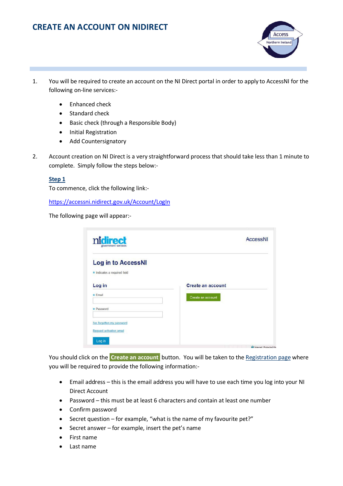# **CREATE AN ACCOUNT ON NIDIRECT**



- 1. You will be required to create an account on the NI Direct portal in order to apply to AccessNI for the following on-line services:-
	- Enhanced check
	- Standard check
	- Basic check (through a Responsible Body)
	- Initial Registration
	- Add Countersignatory
- 2. Account creation on NI Direct is a very straightforward process that should take less than 1 minute to complete. Simply follow the steps below:-

#### **Step 1**

To commence, click the following link:-

<https://accessni.nidirect.gov.uk/Account/LogIn>

The following page will appear:-

| nidirect<br>government services                           | AccessNI                                      |
|-----------------------------------------------------------|-----------------------------------------------|
| <b>Log in to AccessNI</b><br>* Indicates a required field |                                               |
| Log in<br>$\star$ Email                                   | <b>Create an account</b><br>Create an account |
| * Password                                                |                                               |
| I've forgotten my password<br>Request activation email    |                                               |
| Log in                                                    |                                               |

You should click on the **Create an account** button. You will be taken to the Registration page where you will be required to provide the following information:-

- Email address this is the email address you will have to use each time you log into your NI Direct Account
- Password this must be at least 6 characters and contain at least one number
- Confirm password
- Secret question for example, "what is the name of my favourite pet?"
- Secret answer for example, insert the pet's name
- First name
- Last name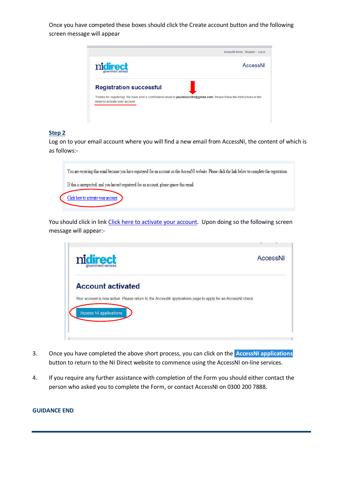Once you have competed these boxes should click the Create account button and the following screen message will appear



#### **Step 2**

Log on to your email account where you will find a new email from AccessNI, the content of which is as follows:-



You should click in link Click here to activate your account. Upon doing so the following screen message will appear:-



- 3. Once you have completed the above short process, you can click on the **AccessNI applications**  button to return to the NI Direct website to commence using the AccessNI on-line services.
- 4. If you require any further assistance with completion of the Form you should either contact the person who asked you to complete the Form, or contact AccessNI on 0300 200 7888.

#### **GUIDANCE END**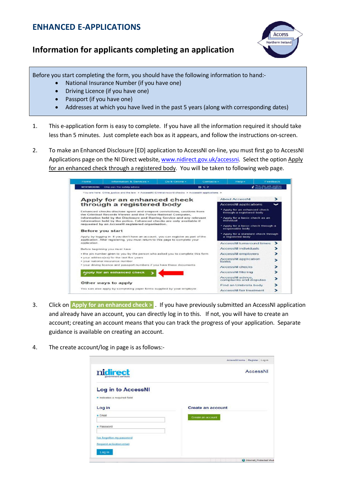# **ENHANCED E-APPLICATIONS**

# **Information for applicants completing an application**



Before you start completing the form, you should have the following information to hand:-

- National Insurance Number (if you have one)
- Driving Licence (if you have one)
- Passport (if you have one)
- Addresses at which you have lived in the past 5 years (along with corresponding dates)
- 1. This e-application form is easy to complete. If you have all the information required it should take less than 5 minutes. Just complete each box as it appears, and follow the instructions on-screen.
- 2. To make an Enhanced Disclosure [ED] application to AccessNI on-line, you must first go to AccessNI Applications page on the NI Direct website, [www.nidirect.gov.uk/accessni.](http://www.nidirect.gov.uk/accessni) Select the option Apply for an enhanced check through a registered body. You will be taken to following web page.

| NEWSPOOM:                                                                                                                              | Chip pan fire safety advice                                                                                                                                         |  | $\mathbf{u}$ | Finis site sets cookies<br>encere information              |             |
|----------------------------------------------------------------------------------------------------------------------------------------|---------------------------------------------------------------------------------------------------------------------------------------------------------------------|--|--------------|------------------------------------------------------------|-------------|
|                                                                                                                                        | You are here: Crime, justice and the law > Accessibil Criminal record checks > Accessibil applications >                                                            |  |              |                                                            |             |
|                                                                                                                                        | Apply for an enhanced check                                                                                                                                         |  |              | <b>About AccossNI</b>                                      | ⋗           |
|                                                                                                                                        | through a registered body                                                                                                                                           |  |              | <b>AccessNI applications</b>                               | $\check{ }$ |
| Enhanced checks disclose spent and unspent convictions, cautions from<br>the Criminal Records Viewer and the Police National Computer, |                                                                                                                                                                     |  |              | * Apply for an enhanced check<br>through a registered body |             |
|                                                                                                                                        | Information held by the Disclosure and Barring Service and any relevant<br>information hold by the police. Enhanced checks are only available if                    |  |              | * Apply for a basic check as an<br>inclusional             |             |
|                                                                                                                                        | requested by an AccessNI registered organisation.<br><b>Before you start</b>                                                                                        |  |              | . Apply for a basic check through a<br>responsible body    |             |
|                                                                                                                                        | Apply by logging in. If you don't have an account, you can register as part of the<br>application. After registering, you must return to this page to complete your |  |              | * Apply for a standard check through<br>a registered body  |             |
| application.                                                                                                                           |                                                                                                                                                                     |  |              | <b>AccessNI turnaround times</b>                           | ⋗           |
|                                                                                                                                        | Before beginning you must have                                                                                                                                      |  |              | <b>AccessNI individuals</b>                                |             |
|                                                                                                                                        | . the pin number given to you by the person who asked you to complete this form                                                                                     |  |              | <b>AccessNI employers</b>                                  |             |
|                                                                                                                                        | · your address(es) for the last five years<br>· your national insurance number                                                                                      |  |              | <b>AccessNI</b> application<br>forms                       |             |
|                                                                                                                                        | . your driving licence and passport numbers if you have these documents                                                                                             |  |              | <b>AccessNI checks</b>                                     |             |
|                                                                                                                                        | Apply for an enhanced check                                                                                                                                         |  |              | <b>AccessNI filtering</b>                                  |             |
|                                                                                                                                        |                                                                                                                                                                     |  |              | AccessNI advice<br>complaints and disputes                 |             |
|                                                                                                                                        | Other ways to apply                                                                                                                                                 |  |              | Find an Umbrella body                                      |             |
|                                                                                                                                        | You can also apply by completing paper forms supplied by your employer.                                                                                             |  |              | AccessNI fair treatment                                    |             |

- 3. Click on **Apply for an enhanced check >** . If you have previously submitted an AccessNI application and already have an account, you can directly log in to this. If not, you will have to create an account; creating an account means that you can track the progress of your application. Separate guidance is available on creating an account.
- 4. The create account/log in page is as follows:-

|                                                           | AccessNI home Register Log in |
|-----------------------------------------------------------|-------------------------------|
| nidirect<br>government services                           | AccessNI                      |
| <b>Log in to AccessNI</b><br>* Indicates a required field |                               |
| Log in                                                    | <b>Create an account</b>      |
| * Email                                                   | Create an account             |
| * Password                                                |                               |
| I've forgotten my password                                |                               |
| Request activation email                                  |                               |
| Log in                                                    |                               |
|                                                           | Internet   Protected Mod      |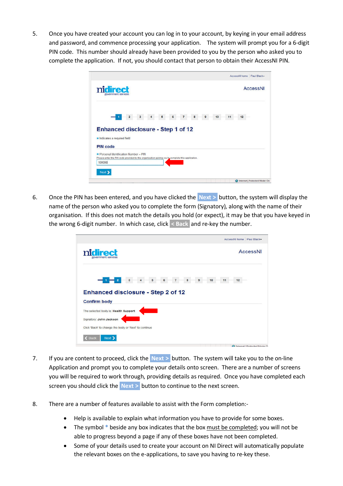5. Once you have created your account you can log in to your account, by keying in your email address and password, and commence processing your application. The system will prompt you for a 6-digit PIN code. This number should already have been provided to you by the person who asked you to complete the application. If not, you should contact that person to obtain their AccessNI PIN.



6. Once the PIN has been entered, and you have clicked the **Next >** button, the system will display the name of the person who asked you to complete the form (Signatory), along with the name of their organisation. If this does not match the details you hold (or expect), it may be that you have keyed in the wrong 6-digit number. In which case, click **< Back** and re-key the number.

| nidirect                                              |                 |
|-------------------------------------------------------|-----------------|
| government services                                   | <b>AccessNI</b> |
| 10                                                    | 12<br>11        |
| <b>Enhanced disclosure - Step 2 of 12</b>             |                 |
| <b>Confirm body</b>                                   |                 |
| The selected body is: Health Support                  |                 |
| Signatory: John Jackson                               |                 |
| Click 'Back' to change the body or 'Next' to continue |                 |
| Next ><br>Back                                        |                 |

- 7. If you are content to proceed, click the **Next >** button. The system will take you to the on-line Application and prompt you to complete your details onto screen. There are a number of screens you will be required to work through, providing details as required. Once you have completed each screen you should click the **Next >** button to continue to the next screen.
- 8. There are a number of features available to assist with the Form completion:-
	- Help is available to explain what information you have to provide for some boxes.
	- The symbol **\*** beside any box indicates that the box must be completed; you will not be able to progress beyond a page if any of these boxes have not been completed.
	- Some of your details used to create your account on NI Direct will automatically populate the relevant boxes on the e-applications, to save you having to re-key these.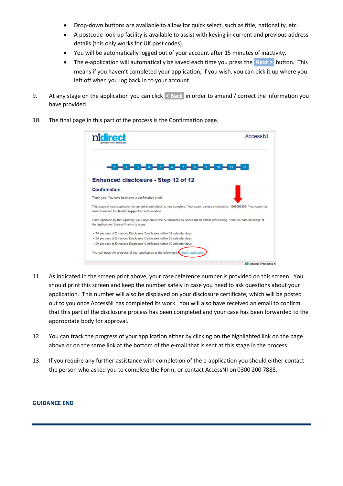- Drop-down buttons are available to allow for quick select, such as title, nationality, etc.
- A postcode look-up facility is available to assist with keying in current and previous address details (this only works for UK post codes).
- You will be automatically logged out of your account after 15 minutes of inactivity.
- The e-application will automatically be saved each time you press the **Next** > button. This means if you haven't completed your application, if you wish, you can pick it up where you left off when you log back in to your account.
- 9. At any stage on the application you can click **< Back** in order to amend / correct the information you have provided.
- 10. The final page in this part of the process is the Confirmation page.

| rlirect                                                                                                                                                                               | AccessNI |
|---------------------------------------------------------------------------------------------------------------------------------------------------------------------------------------|----------|
|                                                                                                                                                                                       |          |
| <b>Enhanced disclosure - Step 12 of 12</b>                                                                                                                                            |          |
| <b>Confirmation</b>                                                                                                                                                                   |          |
| Thank you. You have been sent a confirmation email.                                                                                                                                   |          |
| This stage of your application for an enhanced check is now complete. Your case reference number is: 1000000337. Your case has<br>been forwarded to Health Support for authorisation. |          |
| Once approved by the signatory, your application will be forwarded to AccessNI for further processing. From the date of receipt of<br>the application, AccessNI aims to issue:        |          |
| · 70 per cent of Enhanced Disclosure Certificates within 14 calendar days                                                                                                             |          |
|                                                                                                                                                                                       |          |
| · 90 per cent of Enhanced Disclosure Certificates within 28 calendar days                                                                                                             |          |
| - 99 per cent of Enhanced Disclosure Certificates within 60 calendar days                                                                                                             |          |

- 11. As indicated in the screen print above, your case reference number is provided on this screen. You should print this screen and keep the number safely in case you need to ask questions about your application. This number will also be displayed on your disclosure certificate, which will be posted out to you once AccessNI has completed its work. You will also have received an email to confirm that this part of the disclosure process has been completed and your case has been forwarded to the appropriate body for approval.
- 12. You can track the progress of your application either by clicking on the highlighted link on the page above or on the same link at the bottom of the e-mail that is sent at this stage in the process.
- 13. If you require any further assistance with completion of the e-application you should either contact the person who asked you to complete the Form, or contact AccessNI on 0300 200 7888.

#### **GUIDANCE END**